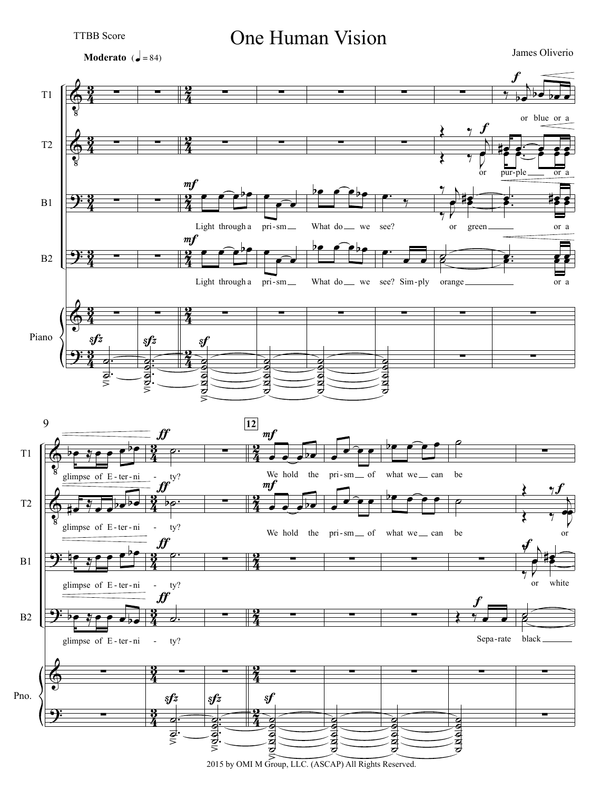TTBB Score

## One Human Vision

**Moderato**  $\overrightarrow{Q} = 84$ 

James Oliverio

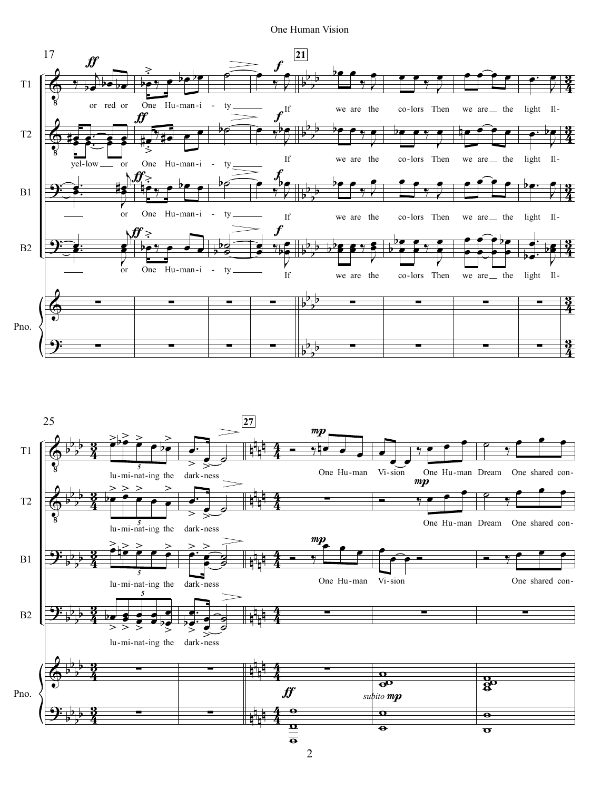One Human Vision



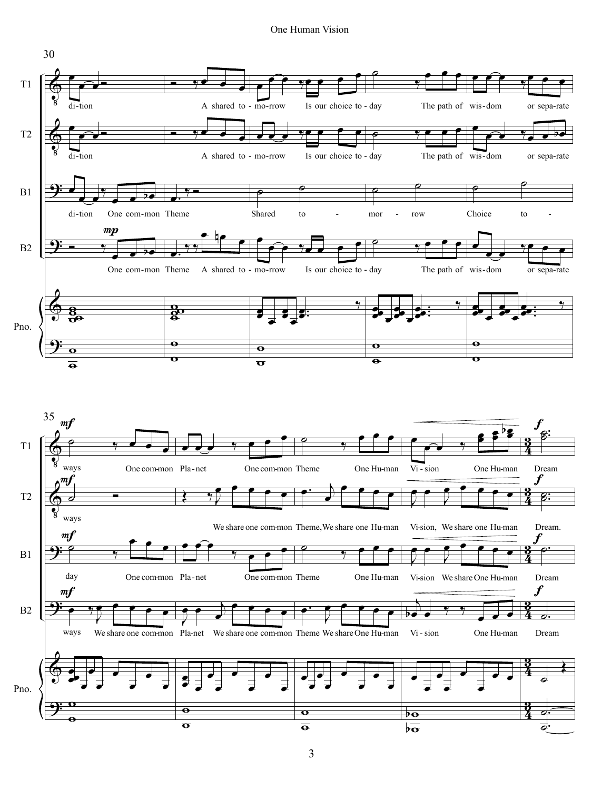One Human Vision

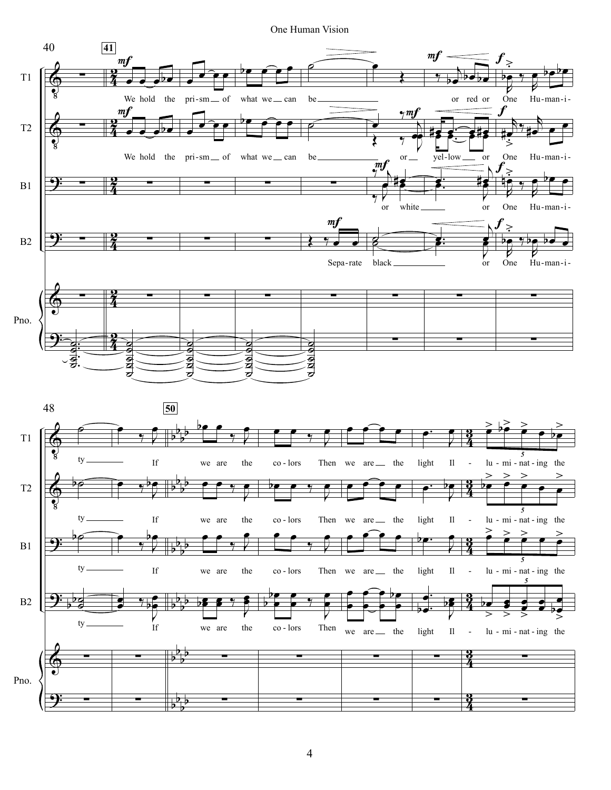One Human Vision

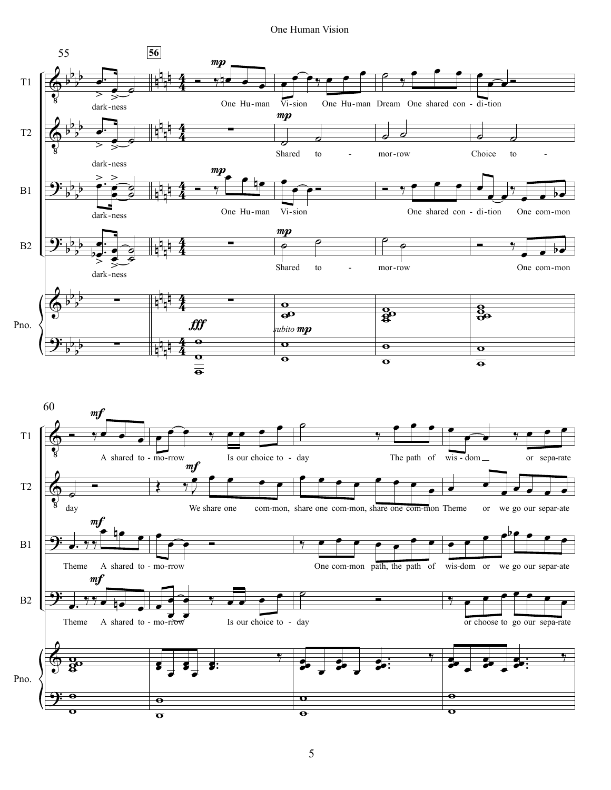One Human Vision



 $\overline{\bullet}$ 

 $\overline{\mathbf{o}}$ 

 $\overline{\mathbf{o}}$ 

 $\overline{\mathbf{o}}$  $\overline{\mathbf{o}}$